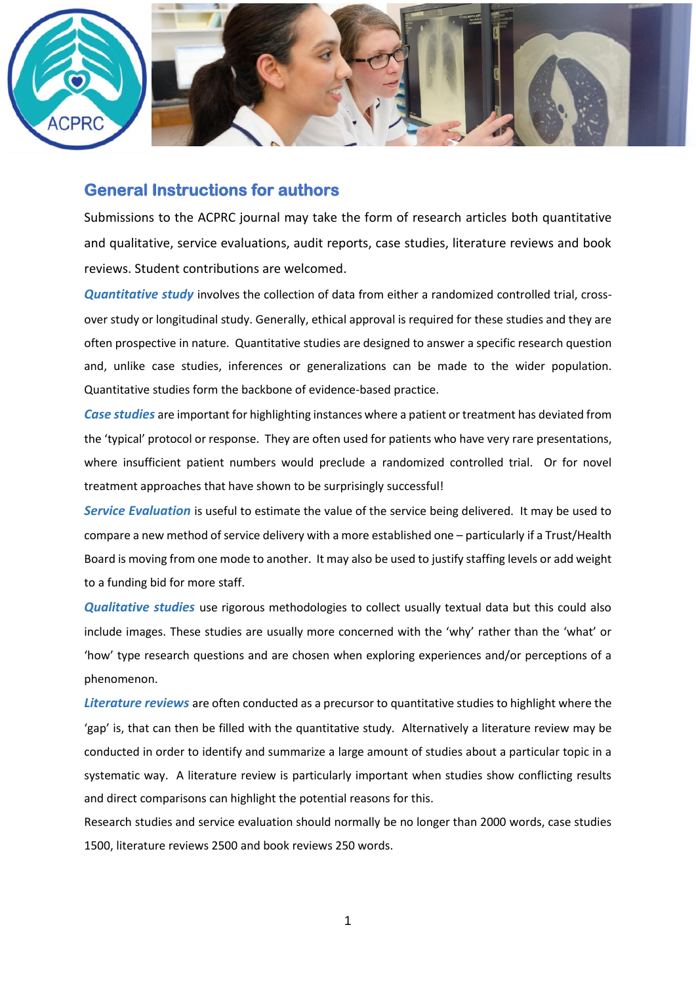

### **General Instructions for authors**

Submissions to the ACPRC journal may take the form of research articles both quantitative and qualitative, service evaluations, audit reports, case studies, literature reviews and book reviews. Student contributions are welcomed.

*Quantitative study* involves the collection of data from either a randomized controlled trial, crossover study or longitudinal study. Generally, ethical approval is required for these studies and they are often prospective in nature. Quantitative studies are designed to answer a specific research question and, unlike case studies, inferences or generalizations can be made to the wider population. Quantitative studies form the backbone of evidence-based practice.

*Case studies* are important for highlighting instances where a patient or treatment has deviated from the 'typical' protocol or response. They are often used for patients who have very rare presentations, where insufficient patient numbers would preclude a randomized controlled trial. Or for novel treatment approaches that have shown to be surprisingly successful!

*Service Evaluation* is useful to estimate the value of the service being delivered. It may be used to compare a new method of service delivery with a more established one – particularly if a Trust/Health Board is moving from one mode to another. It may also be used to justify staffing levels or add weight to a funding bid for more staff.

*Qualitative studies* use rigorous methodologies to collect usually textual data but this could also include images. These studies are usually more concerned with the 'why' rather than the 'what' or 'how' type research questions and are chosen when exploring experiences and/or perceptions of a phenomenon.

*Literature reviews* are often conducted as a precursor to quantitative studies to highlight where the 'gap' is, that can then be filled with the quantitative study. Alternatively a literature review may be conducted in order to identify and summarize a large amount of studies about a particular topic in a systematic way. A literature review is particularly important when studies show conflicting results and direct comparisons can highlight the potential reasons for this.

Research studies and service evaluation should normally be no longer than 2000 words, case studies 1500, literature reviews 2500 and book reviews 250 words.

1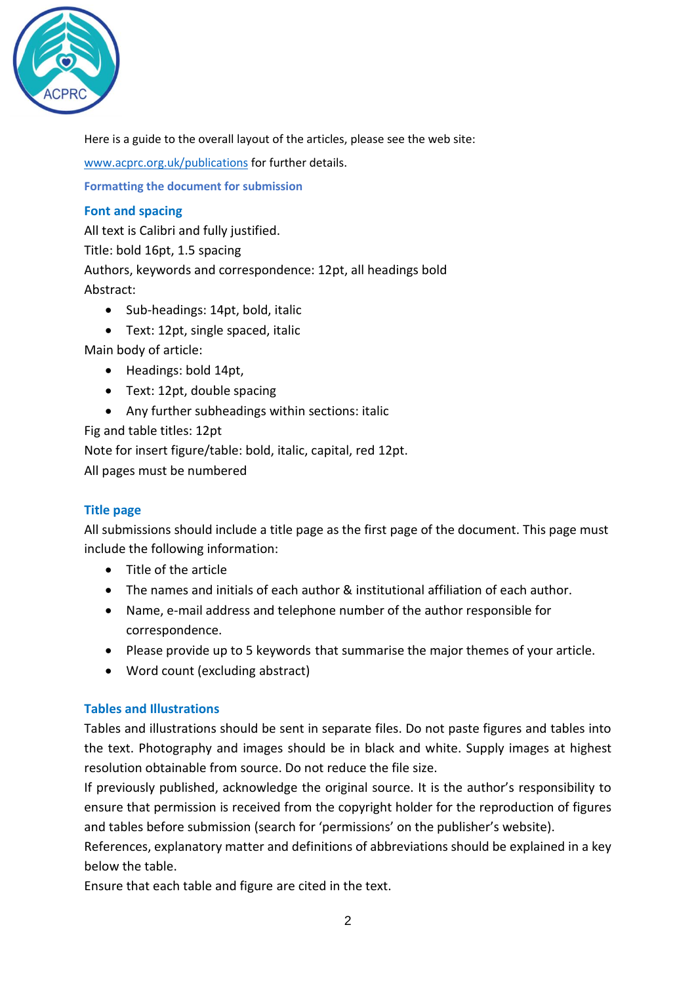

Here is a guide to the overall layout of the articles, please see the web site:

[www.acprc.org.uk/publications](http://www.acprc.org.uk/publications) for further details.

**Formatting the document for submission**

# **Font and spacing**

All text is Calibri and fully justified. Title: bold 16pt, 1.5 spacing Authors, keywords and correspondence: 12pt, all headings bold Abstract:

- Sub-headings: 14pt, bold, italic
- Text: 12pt, single spaced, italic

Main body of article:

- Headings: bold 14pt,
- Text: 12pt, double spacing
- Any further subheadings within sections: italic

Fig and table titles: 12pt

Note for insert figure/table: bold, italic, capital, red 12pt.

All pages must be numbered

# **Title page**

All submissions should include a title page as the first page of the document. This page must include the following information:

- Title of the article
- The names and initials of each author & institutional affiliation of each author.
- Name, e-mail address and telephone number of the author responsible for correspondence.
- Please provide up to 5 keywords that summarise the major themes of your article.
- Word count (excluding abstract)

# **Tables and Illustrations**

Tables and illustrations should be sent in separate files. Do not paste figures and tables into the text. Photography and images should be in black and white. Supply images at highest resolution obtainable from source. Do not reduce the file size.

If previously published, acknowledge the original source. It is the author's responsibility to ensure that permission is received from the copyright holder for the reproduction of figures and tables before submission (search for 'permissions' on the publisher's website).

References, explanatory matter and definitions of abbreviations should be explained in a key below the table.

Ensure that each table and figure are cited in the text.